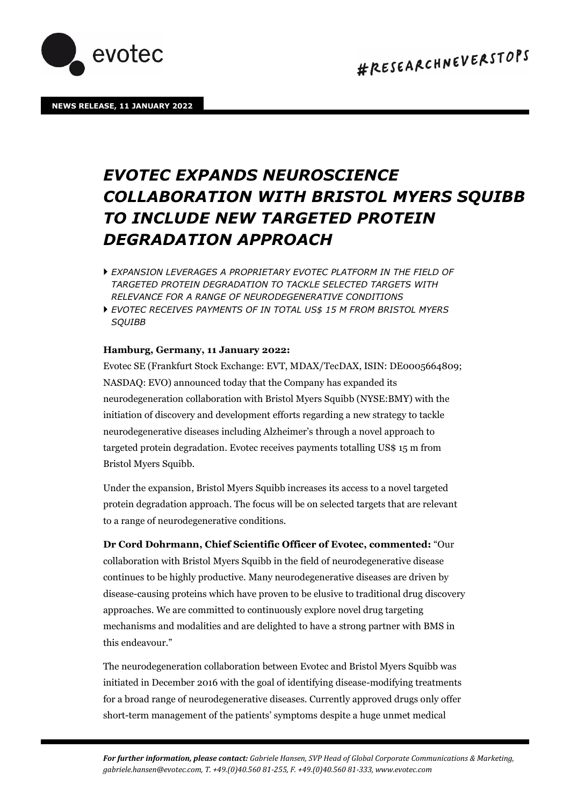

## *EVOTEC EXPANDS NEUROSCIENCE COLLABORATION WITH BRISTOL MYERS SQUIBB TO INCLUDE NEW TARGETED PROTEIN DEGRADATION APPROACH*

- *EXPANSION LEVERAGES A PROPRIETARY EVOTEC PLATFORM IN THE FIELD OF TARGETED PROTEIN DEGRADATION TO TACKLE SELECTED TARGETS WITH RELEVANCE FOR A RANGE OF NEURODEGENERATIVE CONDITIONS*
- *EVOTEC RECEIVES PAYMENTS OF IN TOTAL US\$ 15 M FROM BRISTOL MYERS SQUIBB*

## **Hamburg, Germany, 11 January 2022:**

Evotec SE (Frankfurt Stock Exchange: EVT, MDAX/TecDAX, ISIN: DE0005664809; NASDAQ: EVO) announced today that the Company has expanded its neurodegeneration collaboration with Bristol Myers Squibb (NYSE:BMY) with the initiation of discovery and development efforts regarding a new strategy to tackle neurodegenerative diseases including Alzheimer's through a novel approach to targeted protein degradation. Evotec receives payments totalling US\$ 15 m from Bristol Myers Squibb.

Under the expansion, Bristol Myers Squibb increases its access to a novel targeted protein degradation approach. The focus will be on selected targets that are relevant to a range of neurodegenerative conditions.

**Dr Cord Dohrmann, Chief Scientific Officer of Evotec, commented:** "Our collaboration with Bristol Myers Squibb in the field of neurodegenerative disease continues to be highly productive. Many neurodegenerative diseases are driven by disease-causing proteins which have proven to be elusive to traditional drug discovery approaches. We are committed to continuously explore novel drug targeting mechanisms and modalities and are delighted to have a strong partner with BMS in this endeavour."

The neurodegeneration collaboration between Evotec and Bristol Myers Squibb was initiated in December 2016 with the goal of identifying disease-modifying treatments for a broad range of neurodegenerative diseases. Currently approved drugs only offer short-term management of the patients' symptoms despite a huge unmet medical